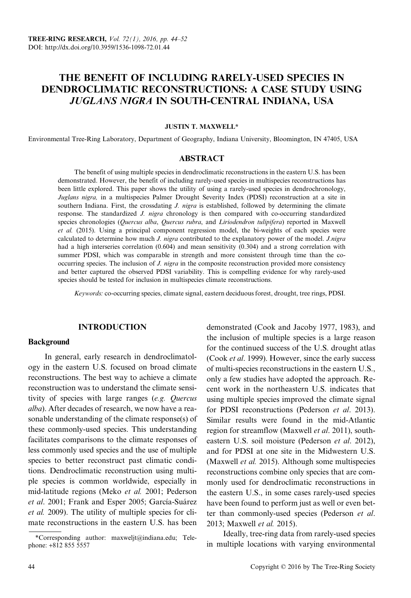# THE BENEFIT OF INCLUDING RARELY-USED SPECIES IN DENDROCLIMATIC RECONSTRUCTIONS: A CASE STUDY USING JUGLANS NIGRA IN SOUTH-CENTRAL INDIANA, USA

### JUSTIN T. MAXWELL\*

Environmental Tree-Ring Laboratory, Department of Geography, Indiana University, Bloomington, IN 47405, USA

### ABSTRACT

The benefit of using multiple species in dendroclimatic reconstructions in the eastern U.S. has been demonstrated. However, the benefit of including rarely-used species in multispecies reconstructions has been little explored. This paper shows the utility of using a rarely-used species in dendrochronology, Juglans nigra, in a multispecies Palmer Drought Severity Index (PDSI) reconstruction at a site in southern Indiana. First, the crossdating *J. nigra* is established, followed by determining the climate response. The standardized *J. nigra* chronology is then compared with co-occurring standardized species chronologies (Quercus alba, Quercus rubra, and Liriodendron tulipifera) reported in Maxwell et al. (2015). Using a principal component regression model, the bi-weights of each species were calculated to determine how much *J. nigra* contributed to the explanatory power of the model. *J.nigra* had a high interseries correlation (0.604) and mean sensitivity (0.304) and a strong correlation with summer PDSI, which was comparable in strength and more consistent through time than the cooccurring species. The inclusion of *J. nigra* in the composite reconstruction provided more consistency and better captured the observed PDSI variability. This is compelling evidence for why rarely-used species should be tested for inclusion in multispecies climate reconstructions.

Keywords: co-occurring species, climate signal, eastern deciduous forest, drought, tree rings, PDSI.

### INTRODUCTION

### Background

In general, early research in dendroclimatology in the eastern U.S. focused on broad climate reconstructions. The best way to achieve a climate reconstruction was to understand the climate sensitivity of species with large ranges (e.g. Quercus alba). After decades of research, we now have a reasonable understanding of the climate response(s) of these commonly-used species. This understanding facilitates comparisons to the climate responses of less commonly used species and the use of multiple species to better reconstruct past climatic conditions. Dendroclimatic reconstruction using multiple species is common worldwide, especially in mid-latitude regions (Meko et al. 2001; Pederson et al. 2001; Frank and Esper 2005; García-Suárez et al. 2009). The utility of multiple species for climate reconstructions in the eastern U.S. has been

demonstrated (Cook and Jacoby 1977, 1983), and the inclusion of multiple species is a large reason for the continued success of the U.S. drought atlas (Cook et al. 1999). However, since the early success of multi-species reconstructions in the eastern U.S., only a few studies have adopted the approach. Recent work in the northeastern U.S. indicates that using multiple species improved the climate signal for PDSI reconstructions (Pederson et al. 2013). Similar results were found in the mid-Atlantic region for streamflow (Maxwell et al. 2011), southeastern U.S. soil moisture (Pederson et al. 2012). and for PDSI at one site in the Midwestern U.S. (Maxwell et al. 2015). Although some multispecies reconstructions combine only species that are commonly used for dendroclimatic reconstructions in the eastern U.S., in some cases rarely-used species have been found to perform just as well or even better than commonly-used species (Pederson et al. 2013; Maxwell et al. 2015).

Ideally, tree-ring data from rarely-used species in multiple locations with varying environmental \*Corresponding author: maxweljt@indiana.edu; Tele-

phone: +812 855 5557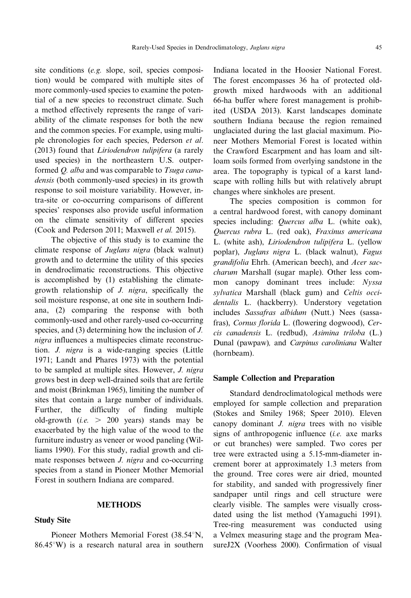site conditions (e.g. slope, soil, species composition) would be compared with multiple sites of more commonly-used species to examine the potential of a new species to reconstruct climate. Such a method effectively represents the range of variability of the climate responses for both the new and the common species. For example, using multiple chronologies for each species, Pederson et al. (2013) found that Liriodendron tulipifera (a rarely used species) in the northeastern U.S. outperformed Q. alba and was comparable to Tsuga canadensis (both commonly-used species) in its growth response to soil moisture variability. However, intra-site or co-occurring comparisons of different species' responses also provide useful information on the climate sensitivity of different species (Cook and Pederson 2011; Maxwell et al. 2015).

The objective of this study is to examine the climate response of Juglans nigra (black walnut) growth and to determine the utility of this species in dendroclimatic reconstructions. This objective is accomplished by (1) establishing the climategrowth relationship of J. nigra, specifically the soil moisture response, at one site in southern Indiana, (2) comparing the response with both commonly-used and other rarely-used co-occurring species, and (3) determining how the inclusion of J. nigra influences a multispecies climate reconstruction. J. nigra is a wide-ranging species (Little 1971; Landt and Phares 1973) with the potential to be sampled at multiple sites. However, J. nigra grows best in deep well-drained soils that are fertile and moist (Brinkman 1965), limiting the number of sites that contain a large number of individuals. Further, the difficulty of finding multiple old-growth (*i.e.*  $> 200$  years) stands may be exacerbated by the high value of the wood to the furniture industry as veneer or wood paneling (Williams 1990). For this study, radial growth and climate responses between *J. nigra* and co-occurring species from a stand in Pioneer Mother Memorial Forest in southern Indiana are compared.

### **METHODS**

#### Study Site

Pioneer Mothers Memorial Forest (38.54°N,  $86.45^{\circ}$ W) is a research natural area in southern Indiana located in the Hoosier National Forest. The forest encompasses 36 ha of protected oldgrowth mixed hardwoods with an additional 66-ha buffer where forest management is prohibited (USDA 2013). Karst landscapes dominate southern Indiana because the region remained unglaciated during the last glacial maximum. Pioneer Mothers Memorial Forest is located within the Crawford Escarpment and has loam and siltloam soils formed from overlying sandstone in the area. The topography is typical of a karst landscape with rolling hills but with relatively abrupt changes where sinkholes are present.

The species composition is common for a central hardwood forest, with canopy dominant species including: Quercus alba L. (white oak), Quercus rubra L. (red oak), Fraxinus americana L. (white ash), Liriodendron tulipifera L. (yellow poplar), Juglans nigra L. (black walnut), Fagus grandifolia Ehrh. (American beech), and Acer saccharum Marshall (sugar maple). Other less common canopy dominant trees include: Nyssa sylvatica Marshall (black gum) and Celtis occidentalis L. (hackberry). Understory vegetation includes Sassafras albidum (Nutt.) Nees (sassafras), Cornus florida L. (flowering dogwood), Cercis canadensis L. (redbud), Asimina triloba (L.) Dunal (pawpaw), and Carpinus caroliniana Walter (hornbeam).

#### Sample Collection and Preparation

Standard dendroclimatological methods were employed for sample collection and preparation (Stokes and Smiley 1968; Speer 2010). Eleven canopy dominant J. nigra trees with no visible signs of anthropogenic influence  $(i.e.$  axe marks or cut branches) were sampled. Two cores per tree were extracted using a 5.15-mm-diameter increment borer at approximately 1.3 meters from the ground. Tree cores were air dried, mounted for stability, and sanded with progressively finer sandpaper until rings and cell structure were clearly visible. The samples were visually crossdated using the list method (Yamaguchi 1991). Tree-ring measurement was conducted using a Velmex measuring stage and the program MeasureJ2X (Voorhess 2000). Confirmation of visual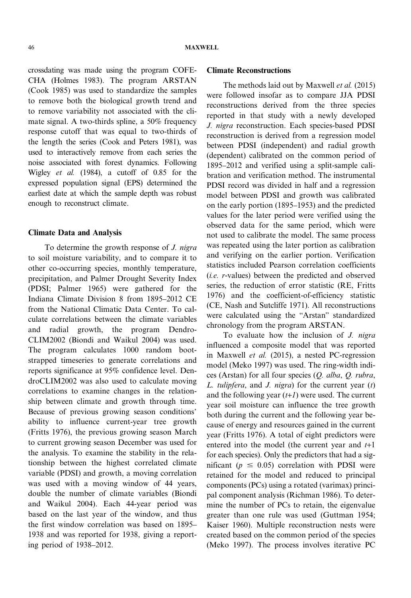crossdating was made using the program COFE-CHA (Holmes 1983). The program ARSTAN (Cook 1985) was used to standardize the samples to remove both the biological growth trend and to remove variability not associated with the climate signal. A two-thirds spline, a 50% frequency response cutoff that was equal to two-thirds of the length the series (Cook and Peters 1981), was used to interactively remove from each series the noise associated with forest dynamics. Following Wigley et al. (1984), a cutoff of 0.85 for the expressed population signal (EPS) determined the earliest date at which the sample depth was robust enough to reconstruct climate.

### Climate Data and Analysis

To determine the growth response of J. nigra to soil moisture variability, and to compare it to other co-occurring species, monthly temperature, precipitation, and Palmer Drought Severity Index (PDSI; Palmer 1965) were gathered for the Indiana Climate Division 8 from 1895–2012 CE from the National Climatic Data Center. To calculate correlations between the climate variables and radial growth, the program Dendro-CLIM2002 (Biondi and Waikul 2004) was used. The program calculates 1000 random bootstrapped timeseries to generate correlations and reports significance at 95% confidence level. DendroCLIM2002 was also used to calculate moving correlations to examine changes in the relationship between climate and growth through time. Because of previous growing season conditions' ability to influence current-year tree growth (Fritts 1976), the previous growing season March to current growing season December was used for the analysis. To examine the stability in the relationship between the highest correlated climate variable (PDSI) and growth, a moving correlation was used with a moving window of 44 years, double the number of climate variables (Biondi and Waikul 2004). Each 44-year period was based on the last year of the window, and thus the first window correlation was based on 1895– 1938 and was reported for 1938, giving a reporting period of 1938–2012.

### Climate Reconstructions

The methods laid out by Maxwell *et al.* (2015) were followed insofar as to compare JJA PDSI reconstructions derived from the three species reported in that study with a newly developed J. nigra reconstruction. Each species-based PDSI reconstruction is derived from a regression model between PDSI (independent) and radial growth (dependent) calibrated on the common period of 1895–2012 and verified using a split-sample calibration and verification method. The instrumental PDSI record was divided in half and a regression model between PDSI and growth was calibrated on the early portion (1895–1953) and the predicted values for the later period were verified using the observed data for the same period, which were not used to calibrate the model. The same process was repeated using the later portion as calibration and verifying on the earlier portion. Verification statistics included Pearson correlation coefficients (i.e. r-values) between the predicted and observed series, the reduction of error statistic (RE, Fritts 1976) and the coefficient-of-efficiency statistic (CE, Nash and Sutcliffe 1971). All reconstructions were calculated using the "Arstan" standardized chronology from the program ARSTAN.

To evaluate how the inclusion of *J. nigra* influenced a composite model that was reported in Maxwell et al. (2015), a nested PC-regression model (Meko 1997) was used. The ring-width indices (Arstan) for all four species (Q. alba, Q. rubra, L. tulipfera, and J. nigra) for the current year  $(t)$ and the following year  $(t+1)$  were used. The current year soil moisture can influence the tree growth both during the current and the following year because of energy and resources gained in the current year (Fritts 1976). A total of eight predictors were entered into the model (the current year and  $t+1$ for each species). Only the predictors that had a significant ( $p \leq 0.05$ ) correlation with PDSI were retained for the model and reduced to principal components (PCs) using a rotated (varimax) principal component analysis (Richman 1986). To determine the number of PCs to retain, the eigenvalue greater than one rule was used (Guttman 1954; Kaiser 1960). Multiple reconstruction nests were created based on the common period of the species (Meko 1997). The process involves iterative PC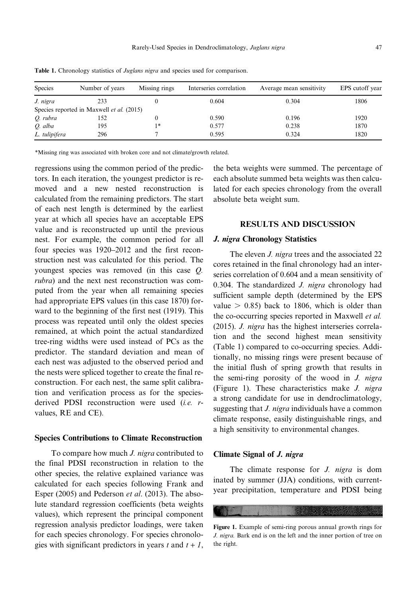| <b>Species</b> | Number of years                                  | Missing rings | Interseries correlation | Average mean sensitivity | EPS cutoff year |
|----------------|--------------------------------------------------|---------------|-------------------------|--------------------------|-----------------|
| J. nigra       | 233                                              |               | 0.604                   | 0.304                    | 1806            |
|                | Species reported in Maxwell <i>et al.</i> (2015) |               |                         |                          |                 |
| O. rubra       | 152                                              |               | 0.590                   | 0.196                    | 1920            |
| O. alba        | 195                                              | $1*$          | 0.577                   | 0.238                    | 1870            |
| L. tulipifera  | 296                                              |               | 0.595                   | 0.324                    | 1820            |

Table 1. Chronology statistics of Juglans nigra and species used for comparison.

\*Missing ring was associated with broken core and not climate/growth related.

regressions using the common period of the predictors. In each iteration, the youngest predictor is removed and a new nested reconstruction is calculated from the remaining predictors. The start of each nest length is determined by the earliest year at which all species have an acceptable EPS value and is reconstructed up until the previous nest. For example, the common period for all four species was 1920–2012 and the first reconstruction nest was calculated for this period. The youngest species was removed (in this case Q. rubra) and the next nest reconstruction was computed from the year when all remaining species had appropriate EPS values (in this case 1870) forward to the beginning of the first nest (1919). This process was repeated until only the oldest species remained, at which point the actual standardized tree-ring widths were used instead of PCs as the predictor. The standard deviation and mean of each nest was adjusted to the observed period and the nests were spliced together to create the final reconstruction. For each nest, the same split calibration and verification process as for the speciesderived PDSI reconstruction were used (i.e. rvalues, RE and CE).

#### Species Contributions to Climate Reconstruction

To compare how much *J. nigra* contributed to the final PDSI reconstruction in relation to the other species, the relative explained variance was calculated for each species following Frank and Esper (2005) and Pederson et al. (2013). The absolute standard regression coefficients (beta weights values), which represent the principal component regression analysis predictor loadings, were taken for each species chronology. For species chronologies with significant predictors in years t and  $t + 1$ , the beta weights were summed. The percentage of each absolute summed beta weights was then calculated for each species chronology from the overall absolute beta weight sum.

### RESULTS AND DISCUSSION

#### J. nigra Chronology Statistics

The eleven *J. nigra* trees and the associated 22 cores retained in the final chronology had an interseries correlation of 0.604 and a mean sensitivity of 0.304. The standardized  $J.$  nigra chronology had sufficient sample depth (determined by the EPS value  $> 0.85$ ) back to 1806, which is older than the co-occurring species reported in Maxwell *et al.* (2015). J. nigra has the highest interseries correlation and the second highest mean sensitivity (Table 1) compared to co-occurring species. Additionally, no missing rings were present because of the initial flush of spring growth that results in the semi-ring porosity of the wood in J. nigra (Figure 1). These characteristics make J. nigra a strong candidate for use in dendroclimatology, suggesting that *J. nigra* individuals have a common climate response, easily distinguishable rings, and a high sensitivity to environmental changes.

### Climate Signal of J. nigra

The climate response for *J. nigra* is dom inated by summer (JJA) conditions, with currentyear precipitation, temperature and PDSI being

Figure 1. Example of semi-ring porous annual growth rings for J. nigra. Bark end is on the left and the inner portion of tree on the right.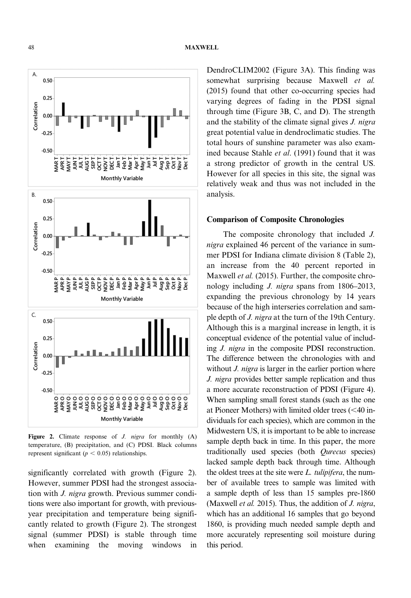A. 0.50  $0.25$ Correlation  $0.00$  $-0.25$  $-0.50$ THE<br>TEPL<br>Mar<br>May T 그들 등 등 등 등<br>기술 등 등 등 등<br>기술 등 등 등 T VON ġ ie. ġ DEC. in. **Monthly Variable** В.  $0.50$  $0.25$ Correlation  $0.00$  $-0.25$  $-0.50$ AUGP JUL P Sep P. OCT P Jan P<br>Feb P Mar P HNDI SEP P. NOV P Apr P<br>Vlay P Jun P Oct P<br>Nov P<br>Dec P  $\overline{\phantom{a}}$ lugP. βď Ξ **Monthly Variable** C. 0.50  $0.25$ Correlation  $0.00$  $-0.25$  $-0.50$ ०००००००००००००००००००००००<br>६ ड्रेड्स पुक्के पुट्टेक्ष बरी बुद्ध बुद्ध बुद्ध बुद्ध बुद्ध बुद्ध बुद्ध बुद्ध बुद्ध<br>०००००००००००००००००००००००००००० AAR<br>APR **Monthly Variable** 

Figure 2. Climate response of  $J$ . *nigra* for monthly  $(A)$ temperature, (B) precipitation, and (C) PDSI. Black columns represent significant ( $p < 0.05$ ) relationships.

significantly correlated with growth (Figure 2). However, summer PDSI had the strongest association with J. nigra growth. Previous summer conditions were also important for growth, with previousyear precipitation and temperature being significantly related to growth (Figure 2). The strongest signal (summer PDSI) is stable through time when examining the moving windows in DendroCLIM2002 (Figure 3A). This finding was somewhat surprising because Maxwell et al. (2015) found that other co-occurring species had varying degrees of fading in the PDSI signal through time (Figure 3B, C, and D). The strength and the stability of the climate signal gives J. nigra great potential value in dendroclimatic studies. The total hours of sunshine parameter was also examined because Stahle et al. (1991) found that it was a strong predictor of growth in the central US. However for all species in this site, the signal was relatively weak and thus was not included in the analysis.

### Comparison of Composite Chronologies

The composite chronology that included J. nigra explained 46 percent of the variance in summer PDSI for Indiana climate division 8 (Table 2), an increase from the 40 percent reported in Maxwell *et al.* (2015). Further, the composite chronology including J. nigra spans from 1806–2013, expanding the previous chronology by 14 years because of the high interseries correlation and sample depth of J. nigra at the turn of the 19th Century. Although this is a marginal increase in length, it is conceptual evidence of the potential value of including J. nigra in the composite PDSI reconstruction. The difference between the chronologies with and without *J. nigra* is larger in the earlier portion where J. nigra provides better sample replication and thus a more accurate reconstruction of PDSI (Figure 4). When sampling small forest stands (such as the one at Pioneer Mothers) with limited older trees  $( $40$  in$ dividuals for each species), which are common in the Midwestern US, it is important to be able to increase sample depth back in time. In this paper, the more traditionally used species (both Qurecus species) lacked sample depth back through time. Although the oldest trees at the site were  $L$ . tulipifera, the number of available trees to sample was limited with a sample depth of less than 15 samples pre-1860 (Maxwell et al. 2015). Thus, the addition of  $J.$  nigra, which has an additional 16 samples that go beyond 1860, is providing much needed sample depth and more accurately representing soil moisture during this period.

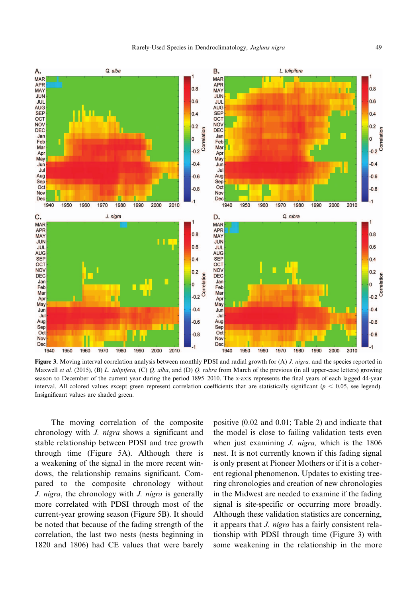

Figure 3. Moving interval correlation analysis between monthly PDSI and radial growth for (A) *J. nigra*, and the species reported in Maxwell et al. (2015), (B) L. tulipifera, (C) Q. alba, and (D) Q. rubra from March of the previous (in all upper-case letters) growing season to December of the current year during the period 1895–2010. The x-axis represents the final years of each lagged 44-year interval. All colored values except green represent correlation coefficients that are statistically significant ( $p < 0.05$ , see legend). Insignificant values are shaded green.

The moving correlation of the composite chronology with J. nigra shows a significant and stable relationship between PDSI and tree growth through time (Figure 5A). Although there is a weakening of the signal in the more recent windows, the relationship remains significant. Compared to the composite chronology without J. nigra, the chronology with J. nigra is generally more correlated with PDSI through most of the current-year growing season (Figure 5B). It should be noted that because of the fading strength of the correlation, the last two nests (nests beginning in 1820 and 1806) had CE values that were barely positive (0.02 and 0.01; Table 2) and indicate that the model is close to failing validation tests even when just examining *J. nigra*, which is the 1806 nest. It is not currently known if this fading signal is only present at Pioneer Mothers or if it is a coherent regional phenomenon. Updates to existing treering chronologies and creation of new chronologies in the Midwest are needed to examine if the fading signal is site-specific or occurring more broadly. Although these validation statistics are concerning, it appears that *J. nigra* has a fairly consistent relationship with PDSI through time (Figure 3) with some weakening in the relationship in the more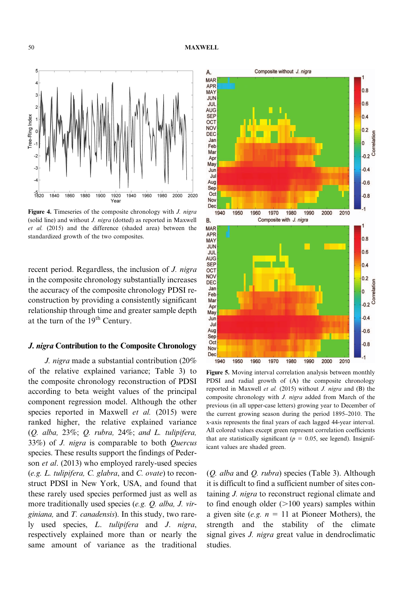

Figure 4. Timeseries of the composite chronology with *J. nigra* (solid line) and without J. nigra (dotted) as reported in Maxwell et al. (2015) and the difference (shaded area) between the standardized growth of the two composites.

recent period. Regardless, the inclusion of J. nigra in the composite chronology substantially increases the accuracy of the composite chronology PDSI reconstruction by providing a consistently significant relationship through time and greater sample depth at the turn of the 19<sup>th</sup> Century.

### J. nigra Contribution to the Composite Chronology

J. nigra made a substantial contribution (20% of the relative explained variance; Table 3) to the composite chronology reconstruction of PDSI according to beta weight values of the principal component regression model. Although the other species reported in Maxwell et al. (2015) were ranked higher, the relative explained variance (Q. alba, 23%; Q. rubra, 24%; and L. tulipifera, 33%) of J. nigra is comparable to both Quercus species. These results support the findings of Pederson *et al.* (2013) who employed rarely-used species (e.g. L. tulipifera, C. glabra, and C. ovate) to reconstruct PDSI in New York, USA, and found that these rarely used species performed just as well as more traditionally used species (e.g. Q. alba, J. virginiana, and T. canadensis). In this study, two rarely used species, L. tulipifera and J. nigra, respectively explained more than or nearly the same amount of variance as the traditional



Figure 5. Moving interval correlation analysis between monthly PDSI and radial growth of (A) the composite chronology reported in Maxwell et al. (2015) without J. nigra and (B) the composite chronology with J. nigra added from March of the previous (in all upper-case letters) growing year to December of the current growing season during the period 1895–2010. The x-axis represents the final years of each lagged 44-year interval. All colored values except green represent correlation coefficients that are statistically significant ( $p = 0.05$ , see legend). Insignificant values are shaded green.

(Q. alba and Q. rubra) species (Table 3). Although it is difficult to find a sufficient number of sites containing J. nigra to reconstruct regional climate and to find enough older  $(>100 \text{ years})$  samples within a given site (e.g.  $n = 11$  at Pioneer Mothers), the strength and the stability of the climate signal gives *J. nigra* great value in dendroclimatic studies.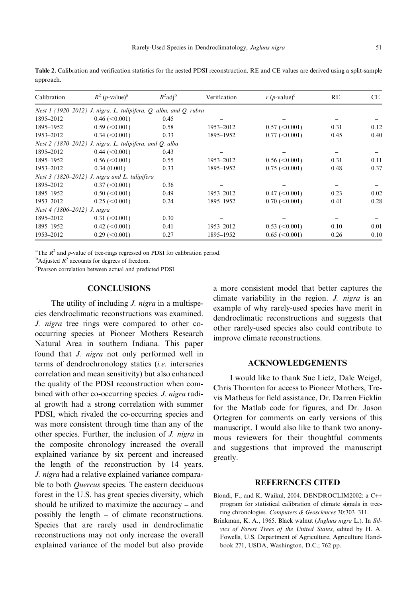Table 2. Calibration and verification statistics for the nested PDSI reconstruction. RE and CE values are derived using a split-sample approach.

| Calibration                 | $R^2$ ( <i>p</i> -value) <sup>a</sup>                             | $R^2$ adj <sup>b</sup> | Verification | $r(p$ -value) <sup>c</sup> | RE   | CE.  |
|-----------------------------|-------------------------------------------------------------------|------------------------|--------------|----------------------------|------|------|
|                             | Nest 1 (1920–2012) J. nigra, L. tulipifera, Q. alba, and Q. rubra |                        |              |                            |      |      |
| 1895-2012                   | $0.46 \approx 0.001$                                              | 0.45                   |              |                            |      |      |
| 1895-1952                   | $0.59 \leq 0.001$                                                 | 0.58                   | 1953-2012    | $0.57 \approx 0.001$       | 0.31 | 0.12 |
| 1953-2012                   | $0.34$ (<0.001)                                                   | 0.33                   | 1895-1952    | $0.77 (< 0.001$ )          | 0.45 | 0.40 |
|                             | Nest $2(1870-2012)$ J. nigra, L. tulipifera, and Q. alba          |                        |              |                            |      |      |
| 1895-2012                   | $0.44 \left( \leq 0.001 \right)$                                  | 0.43                   |              |                            |      |      |
| 1895-1952                   | $0.56 \approx 0.001$                                              | 0.55                   | 1953-2012    | $0.56 \approx 0.001$       | 0.31 | 0.11 |
| 1953-2012                   | 0.34(0.001)                                                       | 0.33                   | 1895-1952    | $0.75 \approx 0.001$       | 0.48 | 0.37 |
|                             | Nest 3 (1820–2012) J. nigra and L. tulipifera                     |                        |              |                            |      |      |
| 1895-2012                   | $0.37 \approx 0.001$                                              | 0.36                   |              |                            |      |      |
| 1895-1952                   | $0.50 \le 0.001$                                                  | 0.49                   | 1953-2012    | 0.47 (< 0.001)             | 0.23 | 0.02 |
| 1953-2012                   | $0.25 \approx 0.001$                                              | 0.24                   | 1895-1952    | $0.70 \, (< 0.001)$        | 0.41 | 0.28 |
| Nest 4 (1806-2012) J. nigra |                                                                   |                        |              |                            |      |      |
| 1895-2012                   | $0.31 \le 0.001$                                                  | 0.30                   |              |                            |      |      |
| 1895-1952                   | $0.42 \, (< 0.001)$                                               | 0.41                   | 1953-2012    | $0.53 \approx 0.001$       | 0.10 | 0.01 |
| 1953-2012                   | $0.29 \leq 0.001$                                                 | 0.27                   | 1895-1952    | $0.65 \approx 0.001$       | 0.26 | 0.10 |

<sup>a</sup>The  $R^2$  and p-value of tree-rings regressed on PDSI for calibration period.

 $\rm ^b$ Adjusted  $\rm R^2$  accounts for degrees of freedom.

c Pearson correlation between actual and predicted PDSI.

### **CONCLUSIONS**

The utility of including *J. nigra* in a multispecies dendroclimatic reconstructions was examined. J. nigra tree rings were compared to other cooccurring species at Pioneer Mothers Research Natural Area in southern Indiana. This paper found that J. nigra not only performed well in terms of dendrochronology statics (i.e. interseries correlation and mean sensitivity) but also enhanced the quality of the PDSI reconstruction when combined with other co-occurring species. *J. nigra* radial growth had a strong correlation with summer PDSI, which rivaled the co-occurring species and was more consistent through time than any of the other species. Further, the inclusion of J. nigra in the composite chronology increased the overall explained variance by six percent and increased the length of the reconstruction by 14 years. J. nigra had a relative explained variance comparable to both Quercus species. The eastern deciduous forest in the U.S. has great species diversity, which should be utilized to maximize the accuracy – and possibly the length – of climate reconstructions. Species that are rarely used in dendroclimatic reconstructions may not only increase the overall explained variance of the model but also provide a more consistent model that better captures the climate variability in the region. *J. nigra* is an example of why rarely-used species have merit in dendroclimatic reconstructions and suggests that other rarely-used species also could contribute to improve climate reconstructions.

## ACKNOWLEDGEMENTS

I would like to thank Sue Lietz, Dale Weigel, Chris Thornton for access to Pioneer Mothers, Trevis Matheus for field assistance, Dr. Darren Ficklin for the Matlab code for figures, and Dr. Jason Ortegren for comments on early versions of this manuscript. I would also like to thank two anonymous reviewers for their thoughtful comments and suggestions that improved the manuscript greatly.

### REFERENCES CITED

- Biondi, F., and K. Waikul, 2004. DENDROCLIM2002: a C++ program for statistical calibration of climate signals in treering chronologies. Computers & Geosciences 30:303–311.
- Brinkman, K. A., 1965. Black walnut (Juglans nigra L.). In Silvics of Forest Trees of the United States, edited by H. A. Fowells, U.S. Department of Agriculture, Agriculture Handbook 271, USDA, Washington, D.C.; 762 pp.